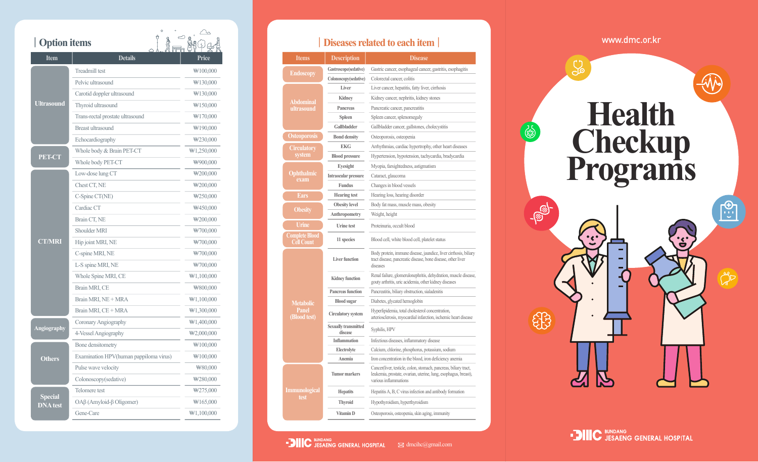|                 | Ô<br><b>Option items</b>                     |                                                                |  |                        |                                        | <b>Diseases related to each iteratively</b>                                                          |
|-----------------|----------------------------------------------|----------------------------------------------------------------|--|------------------------|----------------------------------------|------------------------------------------------------------------------------------------------------|
| <b>Item</b>     | <b>Details</b>                               | Price                                                          |  | <b>Items</b>           | <b>Description</b>                     | <b>Disease</b>                                                                                       |
| Ultrasound      | <b>Treadmill test</b>                        | $\text{W}100,000$                                              |  | Endoscopy<br>Abdominal | Gastroscope(sedative)                  | Gastric cancer, esophageal canc                                                                      |
|                 | Pelvic ultrasound                            | $\#130,000$                                                    |  |                        | Colonoscopy(sedative)                  | Colorectal cancer, colitis                                                                           |
|                 | Carotid doppler ultrasound                   | $\#130,000$                                                    |  |                        | Liver                                  | Liver cancer, hepatitis, fatty live                                                                  |
|                 | Thyroid ultrasound                           | $\#150,000$                                                    |  |                        | Kidney                                 | Kidney cancer, nephritis, kidney                                                                     |
|                 |                                              | $\#170,000$                                                    |  | ultrasound             | Pancreas                               | Pancreatic cancer, pancreatitis                                                                      |
|                 | Trans-rectal prostate ultrasound             |                                                                |  |                        | <b>Spleen</b><br>Gallbladder           | Spleen cancer, splenomegaly                                                                          |
|                 | Breast ultrasound                            | $\#190,000$                                                    |  | <b>Osteoporosis</b>    | <b>Bond density</b>                    | Gallbladder cancer, gallstones, c<br>Osteoporosis, osteopenia                                        |
|                 | Echocardiography                             | $\text{W230,000}$                                              |  |                        | <b>EKG</b>                             | Arrhythmias, cardiac hypertropl                                                                      |
|                 | Whole body & Brain PET-CT                    | $\text{W1},250,000$                                            |  | Circulatory<br>system  | <b>Blood pressure</b>                  | Hypertension, hypotension, tach                                                                      |
| <b>PET-CT</b>   | Whole body PET-CT                            | ₩900,000                                                       |  |                        | Eyesight                               | Myopia, farsightedness, astigma                                                                      |
|                 | Low-dose lung CT                             | $\#200,000$                                                    |  | <b>Ophthalmic</b>      | Intraocular pressure                   | Cataract, glaucoma                                                                                   |
|                 | Chest CT, NE                                 | $\textcolor{blue}{\textbf{W}}200,000$                          |  | exam                   | Fundus                                 | Changes in blood vessels                                                                             |
|                 | $C\text{-}Spine CT(NE)$                      | $\textcolor{blue}{\textbf{W250,000}}$                          |  | Ears                   | <b>Hearing</b> test                    | Hearing loss, hearing disorder                                                                       |
|                 | Cardiac CT                                   | $\#450,000$                                                    |  |                        | <b>Obesity</b> level                   | Body fat mass, muscle mass, ob                                                                       |
| <b>CT/MRI</b>   | Brain CT, NE                                 |                                                                |  | <b>Obesity</b>         | Anthropometry                          | Weight, height                                                                                       |
|                 |                                              | $\#200,000$                                                    |  | <b>Urine</b>           | Urine test                             | Proteinuria, occult blood                                                                            |
|                 | Shoulder MRI                                 | #700,000                                                       |  | Complete Blood         | 11 species                             | Blood cell, white blood cell, plat                                                                   |
|                 | Hip joint MRI, NE                            | #700,000                                                       |  | <b>Cell Count</b>      |                                        |                                                                                                      |
|                 | C-spine MRI, NE                              | $\#700,000$                                                    |  |                        | <b>Liver function</b>                  | Body protein, immune disease, jau<br>tract disease, pancreatic disease, b                            |
|                 | L-S spine MRI, NE                            | $\#700,000$                                                    |  |                        |                                        | diseases                                                                                             |
|                 | Whole Spine MRI, CE                          | $\text{W1},100,000$                                            |  |                        | <b>Kidney function</b>                 | Renal failure, glomerulonephritis,<br>gouty arthritis, uric acidemia, other                          |
|                 | Brain MRI, CE                                | $\#800,000$                                                    |  |                        | Pancreas function                      | Pancreatitis, biliary obstruction, sia                                                               |
| Angiography     | Brain MRI, NE + MRA                          | $\#1,100,000$                                                  |  | <b>Metabolic</b>       | <b>Blood</b> sugar                     | Diabetes, glycated hemoglobin                                                                        |
|                 | Brain MRI, CE + MRA                          | $\text{W1,300,000}$                                            |  | Panel<br>(Blood test)  | <b>Circulatory</b> system              | Hyperlipidemia, total cholesterol o<br>arteriosclerosis, myocardial infarc                           |
|                 | Coronary Angiography<br>4-Vessel Angiography | $\text{W1},400,000$<br>$\textcolor{blue}{\textbf{W2,000,000}}$ |  |                        | <b>Sexually transmitted</b><br>disease | Syphilis, HPV                                                                                        |
| <b>Others</b>   | Bone densitometry                            | $\text{W100,000}$                                              |  |                        | Inflammation                           | Infectious diseases, inflammatory                                                                    |
|                 |                                              |                                                                |  |                        | Electrolyte                            | Calcium, chlorine, phosphorus, po                                                                    |
|                 | Examination HPV(human pappiloma virus)       | $\text{W100,000}$                                              |  |                        | Anemia                                 | Iron concentration in the blood, in                                                                  |
|                 | Pulse wave velocity<br>Colonoscopy(sedative) | ₩80,000<br>₩280,000                                            |  |                        | <b>Tumor markers</b>                   | Cancer(liver, testicle, colon, stoma<br>leukemia, prostate, ovarian, uterin<br>various inflammations |
|                 | Telomere test                                | $\frac{1}{275,000}$                                            |  | <b>Immunological</b>   | <b>Hepatits</b>                        | Hepatitis A, B, C virus infection at                                                                 |
| <b>DNA</b> test | $OA\beta$ (Amyloid- $\beta$ Oligomer)        | $\#165,000$                                                    |  | test                   | <b>Thyroid</b>                         | Hypothyroidism, hyperthyroidism                                                                      |
|                 |                                              |                                                                |  |                        |                                        |                                                                                                      |
|                 | Gene-Care                                    | $\text{W1,100,000}$                                            |  |                        | Vitamin D                              | Osteoporosis, osteopenia, skin agi                                                                   |

## ┃**Diseases related to each item** ┃

| <b>Items</b>                        | <b>Description</b>                     | <b>Disease</b>                                                                                                                                               |  |  |  |
|-------------------------------------|----------------------------------------|--------------------------------------------------------------------------------------------------------------------------------------------------------------|--|--|--|
|                                     | Gastroscope(sedative)                  | Gastric cancer, esophageal cancer, gastritis, esophagitis                                                                                                    |  |  |  |
| <b>Endoscopy</b>                    | Colonoscopy(sedative)                  | Colorectal cancer, colitis                                                                                                                                   |  |  |  |
|                                     | Liver                                  | Liver cancer, hepatitis, fatty liver, cirrhosis                                                                                                              |  |  |  |
| Abdominal                           | Kidney                                 | Kidney cancer, nephritis, kidney stones                                                                                                                      |  |  |  |
| ultrasound                          | Pancreas                               | Pancreatic cancer, pancreatitis                                                                                                                              |  |  |  |
|                                     | Spleen                                 | Spleen cancer, splenomegaly                                                                                                                                  |  |  |  |
|                                     | Gallbladder                            | Gallbladder cancer, gallstones, cholecystitis                                                                                                                |  |  |  |
| <b>Osteoporosis</b>                 | <b>Bond density</b>                    | Osteoporosis, osteopenia                                                                                                                                     |  |  |  |
| <b>Circulatory</b>                  | <b>EKG</b>                             | Arrhythmias, cardiac hypertrophy, other heart diseases                                                                                                       |  |  |  |
| system                              | <b>Blood pressure</b>                  | Hypertension, hypotension, tachycardia, bradycardia                                                                                                          |  |  |  |
|                                     | Eyesight                               | Myopia, farsightedness, astigmatism                                                                                                                          |  |  |  |
| Ophthalmic<br>exam                  | Intraocular pressure                   | Cataract, glaucoma                                                                                                                                           |  |  |  |
|                                     | Fundus                                 | Changes in blood vessels                                                                                                                                     |  |  |  |
| <b>Ears</b>                         | <b>Hearing</b> test                    | Hearing loss, hearing disorder                                                                                                                               |  |  |  |
|                                     | <b>Obesity</b> level                   | Body fat mass, muscle mass, obesity                                                                                                                          |  |  |  |
| Obesity                             | Anthropometry                          | Weight, height                                                                                                                                               |  |  |  |
| Urine                               | <b>Urine test</b>                      | Proteinuria, occult blood                                                                                                                                    |  |  |  |
| <b>Complete Blood</b><br>Cell Count | 11 species                             | Blood cell, white blood cell, platelet status                                                                                                                |  |  |  |
|                                     | <b>Liver function</b>                  | Body protein, immune disease, jaundice, liver cirrhosis, biliary<br>tract disease, pancreatic disease, bone disease, other liver<br>diseases                 |  |  |  |
|                                     | <b>Kidney function</b>                 | Renal failure, glomerulonephritis, dehydration, muscle disease,<br>gouty arthritis, uric acidemia, other kidney diseases                                     |  |  |  |
|                                     | <b>Pancreas function</b>               | Pancreatitis, biliary obstruction, sialadenitis                                                                                                              |  |  |  |
| <b>Metabolic</b>                    | <b>Blood</b> sugar                     | Diabetes, glycated hemoglobin                                                                                                                                |  |  |  |
| Panel<br>(Blood test)               | <b>Circulatory</b> system              | Hyperlipidemia, total cholesterol concentration,<br>arteriosclerosis, myocardial infarction, ischemic heart disease                                          |  |  |  |
|                                     | <b>Sexually transmitted</b><br>disease | Syphilis, HPV                                                                                                                                                |  |  |  |
|                                     | <b>Inflammation</b>                    | Infectious diseases, inflammatory disease                                                                                                                    |  |  |  |
|                                     | Electrolyte                            | Calcium, chlorine, phosphorus, potassium, sodium                                                                                                             |  |  |  |
|                                     | Anemia                                 | Iron concentration in the blood, iron deficiency anemia                                                                                                      |  |  |  |
|                                     | <b>Tumor markers</b>                   | Cancer(liver, testicle, colon, stomach, pancreas, biliary tract,<br>leukemia, prostate, ovarian, uterine, lung, esophagus, breast),<br>various inflammations |  |  |  |
| <u>Immunological</u>                | <b>Hepatits</b>                        | Hepatitis A, B, C virus infection and antibody formation                                                                                                     |  |  |  |
| test                                | <b>Thyroid</b>                         | Hypothyroidism, hyperthyroidism                                                                                                                              |  |  |  |
|                                     | Vitamin D                              | Osteoporosis, osteopenia, skin aging, immunity                                                                                                               |  |  |  |

www.dmc.or.kr

## $\widehat{\mathbb{Q}}$ **Health** 3 **Checkup Programs** \$

 $\bullet$  DIIIC BUNDANG<br> $\bullet$  JESAENG GENERAL HOSPITAL  $\boxtimes$  dmcihc@gmail.com